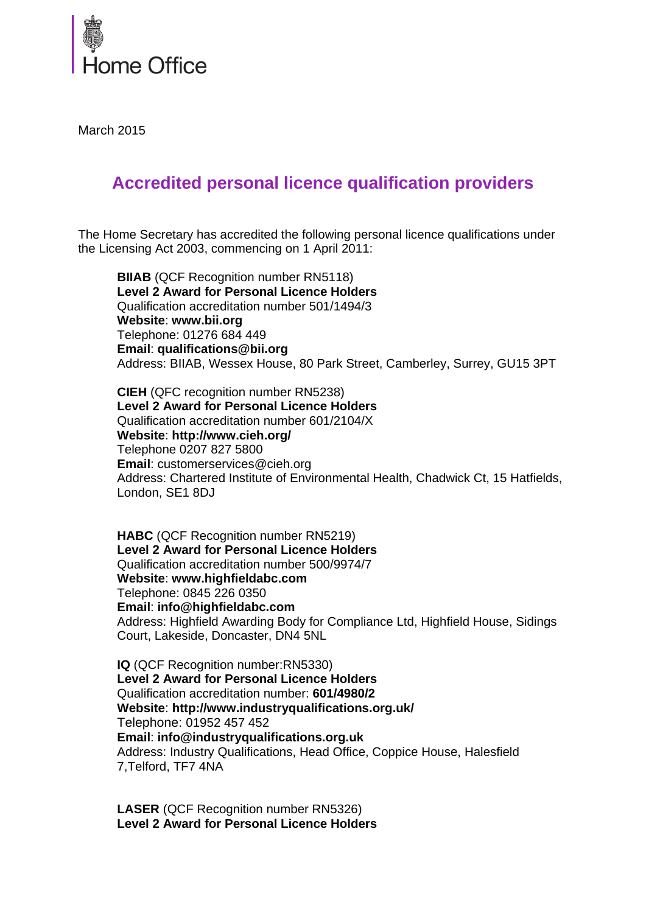

March 2015

## **Accredited personal licence qualification providers**

The Home Secretary has accredited the following personal licence qualifications under the Licensing Act 2003, commencing on 1 April 2011:

**BIIAB** (QCF Recognition number RN5118) **Level 2 Award for Personal Licence Holders**  Qualification accreditation number 501/1494/3 **Website**: **www.bii.org**  Telephone: 01276 684 449 **Email**: **qualifications@bii.org**  Address: BIIAB, Wessex House, 80 Park Street, Camberley, Surrey, GU15 3PT

**CIEH** (QFC recognition number RN5238) **Level 2 Award for Personal Licence Holders** Qualification accreditation number 601/2104/X **Website**: **http://www.cieh.org/** Telephone 0207 827 5800 **Email**: customerservices@cieh.org Address: Chartered Institute of Environmental Health, Chadwick Ct, 15 Hatfields, London, SE1 8DJ

**HABC** (QCF Recognition number RN5219) **Level 2 Award for Personal Licence Holders**  Qualification accreditation number 500/9974/7 **Website**: **www.highfieldabc.com**  Telephone: 0845 226 0350 **Email**: **info@highfieldabc.com**  Address: Highfield Awarding Body for Compliance Ltd, Highfield House, Sidings Court, Lakeside, Doncaster, DN4 5NL

**IQ** (QCF Recognition number:RN5330) **Level 2 Award for Personal Licence Holders** Qualification accreditation number: **601/4980/2 Website**: **http://www.industryqualifications.org.uk/** Telephone: 01952 457 452 **Email**: **[info@industryqualifications.org.uk](mailto:info@industryqualifications.org.uk)** Address: Industry Qualifications, Head Office, Coppice House, Halesfield 7,Telford, TF7 4NA

**LASER** (QCF Recognition number RN5326) **Level 2 Award for Personal Licence Holders**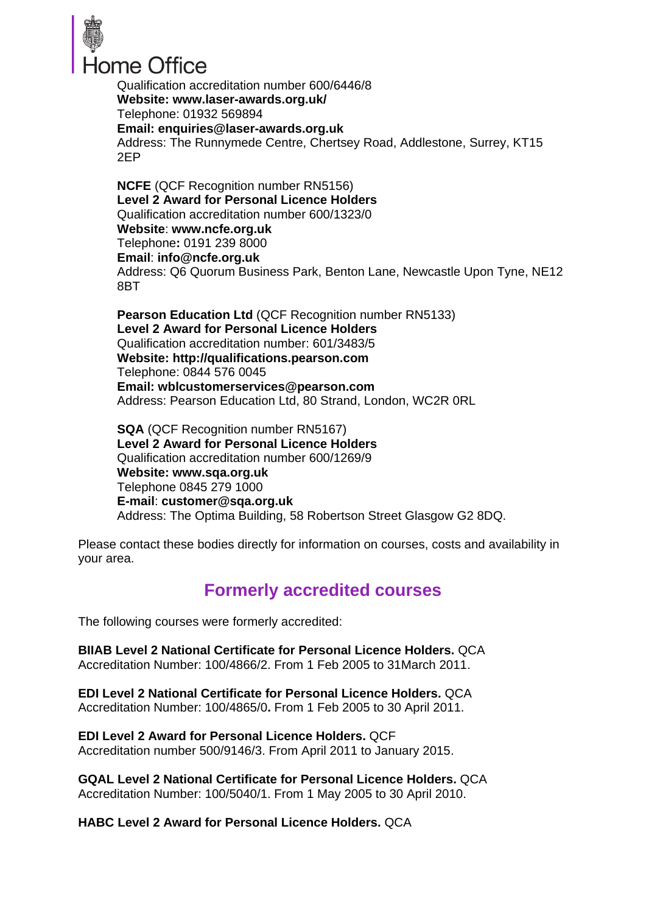

Qualification accreditation number 600/6446/8 **Website: www.laser-awards.org.uk/** Telephone: 01932 569894 **Email: [enquiries@laser-awards.org.uk](mailto:enquiries@laser-awards.org.uk)** Address: The Runnymede Centre, Chertsey Road, Addlestone, Surrey, KT15 2EP

**NCFE** (QCF Recognition number RN5156) **Level 2 Award for Personal Licence Holders**  Qualification accreditation number 600/1323/0 **Website**: **www.ncfe.org.uk**  Telephone**:** 0191 239 8000 **Email**: **info@ncfe.org.uk**  Address: Q6 Quorum Business Park, Benton Lane, Newcastle Upon Tyne, NE12 8BT

**Pearson Education Ltd** (QCF Recognition number RN5133) **Level 2 Award for Personal Licence Holders** Qualification accreditation number: 601/3483/5 **Website: [http://qualifications.pearson.com](http://qualifications.pearson.com/)** Telephone: 0844 576 0045 **Email: [wblcustomerservices@pearson.com](mailto:wblcustomerservices@pearson.com)** Address: Pearson Education Ltd, 80 Strand, London, WC2R 0RL

**SQA** (QCF Recognition number RN5167) **Level 2 Award for Personal Licence Holders**  Qualification accreditation number 600/1269/9 **Website: www.sqa.org.uk**  Telephone 0845 279 1000 **E-mail**: **customer@sqa.org.uk**  Address: The Optima Building, 58 Robertson Street Glasgow G2 8DQ.

Please contact these bodies directly for information on courses, costs and availability in your area.

## **Formerly accredited courses**

The following courses were formerly accredited:

**BIIAB Level 2 National Certificate for Personal Licence Holders.** QCA Accreditation Number: 100/4866/2. From 1 Feb 2005 to 31March 2011.

**EDI Level 2 National Certificate for Personal Licence Holders.** QCA Accreditation Number: 100/4865/0**.** From 1 Feb 2005 to 30 April 2011.

**EDI Level 2 Award for Personal Licence Holders.** QCF Accreditation number 500/9146/3. From April 2011 to January 2015.

**GQAL Level 2 National Certificate for Personal Licence Holders.** QCA Accreditation Number: 100/5040/1. From 1 May 2005 to 30 April 2010.

**HABC Level 2 Award for Personal Licence Holders.** QCA